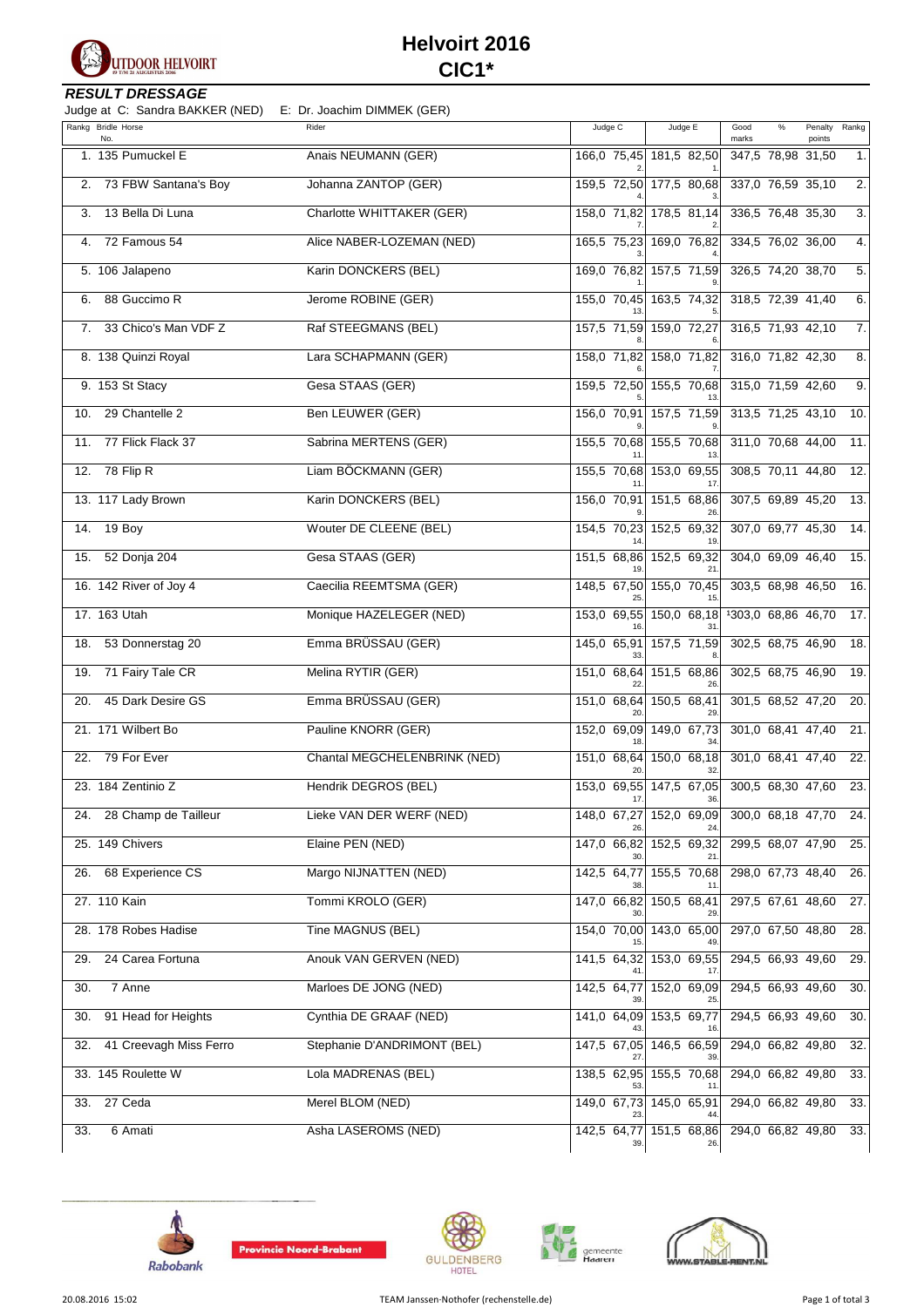

# **Helvoirt 2016 CIC1\***

### **RESULT DRESSAGE**

Judge at C: Sandra BAKKER (NED) E: Dr. Joachim DIMMEK (GER)

|     | Rankg Bridle Horse<br>No. | Rider                        | Judge C     | Judge E                        | Good<br>marks      | $\%$              | Penalty<br>points | Rankg             |
|-----|---------------------------|------------------------------|-------------|--------------------------------|--------------------|-------------------|-------------------|-------------------|
|     | 1. 135 Pumuckel E         | Anais NEUMANN (GER)          |             | 166,0 75,45 181,5 82,50        | 347,5 78,98 31,50  |                   |                   | 1.                |
|     | 2. 73 FBW Santana's Boy   | Johanna ZANTOP (GER)         |             | 159,5 72,50 177,5 80,68        | 337,0 76,59 35,10  |                   |                   | $\overline{2}$    |
| 3.  | 13 Bella Di Luna          | Charlotte WHITTAKER (GER)    |             | 158,0 71,82 178,5 81,14        | 336,5 76,48 35,30  |                   |                   | $\overline{3}$ .  |
| 4.  | 72 Famous 54              | Alice NABER-LOZEMAN (NED)    |             | 165,5 75,23 169,0 76,82        | 334,5 76,02 36,00  |                   |                   | 4.                |
|     | 5. 106 Jalapeno           | Karin DONCKERS (BEL)         | 169,0 76,82 | 157,5 71,59                    | 326,5 74,20 38,70  |                   |                   | 5.                |
| 6.  | 88 Guccimo R              | Jerome ROBINE (GER)          |             | 155,0 70,45 163,5 74,32        | 318,5 72,39 41,40  |                   |                   | 6.                |
| 7.  | 33 Chico's Man VDF Z      | Raf STEEGMANS (BEL)          | 157,5 71,59 | 159,0 72,27                    | 316,5 71,93 42,10  |                   |                   | $\overline{7}$ .  |
|     | 8. 138 Quinzi Royal       | Lara SCHAPMANN (GER)         |             | 158,0 71,82 158,0 71,82        | 316,0 71,82 42,30  |                   |                   | 8.                |
|     | 9. 153 St Stacy           | Gesa STAAS (GER)             |             | 159,5 72,50 155,5 70,68        | 315,0 71,59 42,60  |                   |                   | 9.                |
| 10. | 29 Chantelle 2            | Ben LEUWER (GER)             |             | 156,0 70,91 157,5 71,59        | 313,5 71,25 43,10  |                   |                   | 10.               |
| 11. | 77 Flick Flack 37         | Sabrina MERTENS (GER)        |             | 155,5 70,68 155,5 70,68        | 311,0 70,68 44,00  |                   |                   | 11.               |
| 12. | 78 Flip R                 | Liam BÖCKMANN (GER)          |             | 155,5 70,68 153,0 69,55        | 308,5 70,11 44,80  |                   |                   | $\overline{12}$ . |
|     | 13. 117 Lady Brown        | Karin DONCKERS (BEL)         |             | 156,0 70,91 151,5 68,86        | 307,5 69,89 45,20  |                   |                   | 13.               |
| 14. | 19 Boy                    | Wouter DE CLEENE (BEL)       | 154,5 70,23 | 152,5 69,32                    | 307,0 69,77 45,30  |                   |                   | 14.               |
| 15. | 52 Donja 204              | Gesa STAAS (GER)             | 151,5 68,86 | 152,5 69,32                    | 304,0 69,09 46,40  |                   |                   | 15.               |
|     | 16. 142 River of Joy 4    | Caecilia REEMTSMA (GER)      | 148,5 67,50 | 155,0 70,45                    | 303,5 68,98 46,50  |                   |                   | 16.               |
|     | 17. 163 Utah              | Monique HAZELEGER (NED)      |             | 153,0 69,55 150,0 68,18        | 1303,0 68,86 46,70 |                   |                   | 17.               |
| 18. | 53 Donnerstag 20          | Emma BRÜSSAU (GER)           | 145,0 65,91 | 157,5 71,59                    | 302,5 68,75 46,90  |                   |                   | 18.               |
|     | 19. 71 Fairy Tale CR      | Melina RYTIR (GER)           |             | 151,0 68,64 151,5 68,86        | 302,5 68,75 46,90  |                   |                   | 19.               |
| 20. | 45 Dark Desire GS         | Emma BRÜSSAU (GER)           |             | 151,0 68,64 150,5 68,41        | 301,5 68,52 47,20  |                   |                   | 20.               |
|     | 21. 171 Wilbert Bo        | Pauline KNORR (GER)          |             | 152,0 69,09 149,0 67,73        | 301,0 68,41 47,40  |                   |                   | 21.               |
|     | 22. 79 For Ever           | Chantal MEGCHELENBRINK (NED) |             | 151,0 68,64 150,0 68,18        | 301,0 68,41 47,40  |                   |                   | 22.               |
|     | 23. 184 Zentinio Z        | Hendrik DEGROS (BEL)         | 17.         | 153,0 69,55 147,5 67,05<br>36. | 300,5 68,30 47,60  |                   |                   | 23.               |
|     | 24. 28 Champ de Tailleur  | Lieke VAN DER WERF (NED)     |             | 148,0 67,27 152,0 69,09        |                    | 300,0 68,18 47,70 |                   | 24.               |
|     | 25. 149 Chivers           | Elaine PEN (NED)             | 147,0 66,82 | 152,5 69,32                    | 299,5 68,07 47,90  |                   |                   | 25.               |
| 26. | 68 Experience CS          | Margo NIJNATTEN (NED)        | 142,5 64,77 | 155,5 70,68                    | 298,0 67,73 48,40  |                   |                   | 26.               |
|     | 27. 110 Kain              | Tommi KROLO (GER)            | 147,0 66,82 | 150,5 68,41                    | 297,5 67,61 48,60  |                   |                   | 27.               |
|     | 28. 178 Robes Hadise      | Tine MAGNUS (BEL)            | 154,0 70,00 | 143,0 65,00                    | 297,0 67,50 48,80  |                   |                   | 28.               |
| 29. | 24 Carea Fortuna          | Anouk VAN GERVEN (NED)       | 141,5 64,32 | 153,0 69,55                    | 294,5 66,93 49,60  |                   |                   | 29.               |
| 30. | 7 Anne                    | Marloes DE JONG (NED)        | 142,5 64,77 | 152,0 69,09                    | 294,5 66,93 49,60  |                   |                   | 30.               |
| 30. | 91 Head for Heights       | Cynthia DE GRAAF (NED)       |             | 141,0 64,09 153,5 69,77        | 294,5 66,93 49,60  |                   |                   | 30.               |
| 32. | 41 Creevagh Miss Ferro    | Stephanie D'ANDRIMONT (BEL)  |             | 147,5 67,05 146,5 66,59        | 294,0 66,82 49,80  |                   |                   | $\overline{32}$ . |
|     | 33. 145 Roulette W        | Lola MADRENAS (BEL)          |             | 138,5 62,95 155,5 70,68        | 294,0 66,82 49,80  |                   |                   | 33.               |
| 33. | 27 Ceda                   | Merel BLOM (NED)             |             | 149,0 67,73 145,0 65,91        | 294,0 66,82 49,80  |                   |                   | 33.               |
| 33. | 6 Amati                   | Asha LASEROMS (NED)          | 39.         | 142,5 64,77 151,5 68,86<br>26. | 294,0 66,82 49,80  |                   |                   | 33.               |









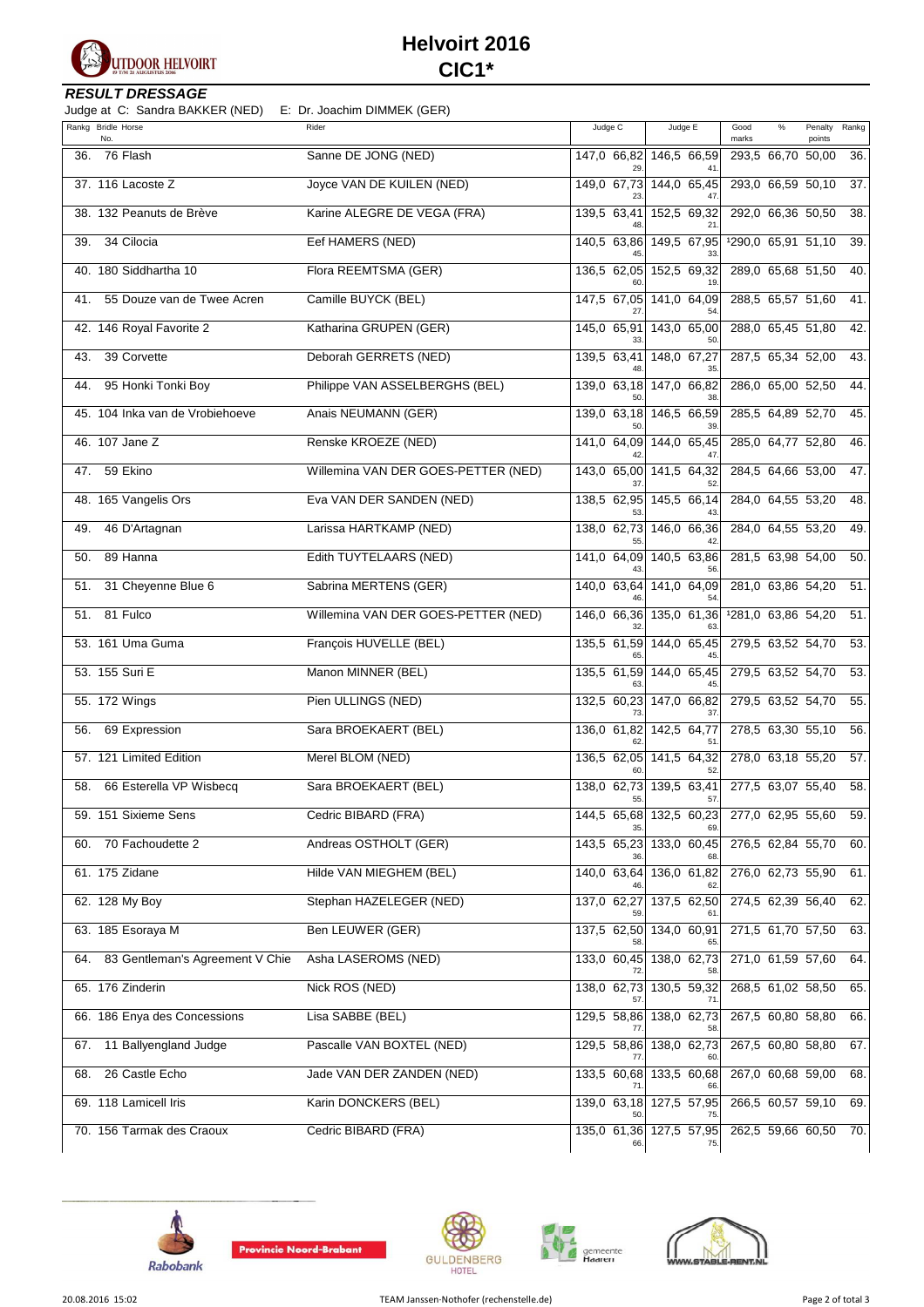

# **Helvoirt 2016 CIC1\***

### **RESULT DRESSAGE**

Judge at C: Sandra BAKKER (NED) E: Dr. Joachim DIMMEK (GER)

|     | Rankg Bridle Horse<br>No.       | Rider                               | Judge C           | Judge E                        | Good<br>marks      | $\%$ | Penalty<br>points | Rankg             |
|-----|---------------------------------|-------------------------------------|-------------------|--------------------------------|--------------------|------|-------------------|-------------------|
| 36. | 76 Flash                        | Sanne DE JONG (NED)                 | $147,0$ 66,82     | 146,5 66,59                    | 293,5 66,70 50,00  |      |                   | 36.               |
|     | 37. 116 Lacoste Z               | Joyce VAN DE KUILEN (NED)           | 149,0 67,73       | 144,0 65,45                    | 293,0 66,59 50,10  |      |                   | $\overline{37}$ . |
|     | 38. 132 Peanuts de Brève        | Karine ALEGRE DE VEGA (FRA)         | 139,5 63,41       | 152.5 69.32                    | 292,0 66,36 50,50  |      |                   | 38.               |
| 39. | 34 Cilocia                      | Eef HAMERS (NED)                    | 140,5 63,86       | 149,5 67,95                    | 1290,0 65,91 51,10 |      |                   | 39.               |
| 40. | 180 Siddhartha 10               | Flora REEMTSMA (GER)                | 136,5 62,05       | 152,5 69,32                    | 289,0 65,68 51,50  |      |                   | 40.               |
| 41. | 55 Douze van de Twee Acren      | Camille BUYCK (BEL)                 | 147,5 67,05       | 141,0 64,09                    | 288,5 65,57 51,60  |      |                   | 41.               |
|     | 42. 146 Royal Favorite 2        | Katharina GRUPEN (GER)              | 145,0 65,91       | 143,0 65,00                    | 288,0 65,45 51,80  |      |                   | 42.               |
| 43. | 39 Corvette                     | Deborah GERRETS (NED)               | 139,5 63,41       | 148,0 67,27                    | 287,5 65,34 52,00  |      |                   | 43.               |
| 44. | 95 Honki Tonki Boy              | Philippe VAN ASSELBERGHS (BEL)      |                   | 139,0 63,18 147,0 66,82        | 286,0 65,00 52,50  |      |                   | 44.               |
|     | 45. 104 Inka van de Vrobiehoeve | Anais NEUMANN (GER)                 | 139,0 63,18       | 146,5 66,59                    | 285,5 64,89 52,70  |      |                   | 45.               |
|     | 46. 107 Jane Z                  | Renske KROEZE (NED)                 | 141,0 64,09       | 144,0 65,45                    | 285,0 64,77 52,80  |      |                   | 46.               |
| 47. | 59 Ekino                        | Willemina VAN DER GOES-PETTER (NED) | 143,0 65,00       | 141,5 64,32                    | 284,5 64,66 53,00  |      |                   | 47.               |
|     | 48. 165 Vangelis Ors            | Eva VAN DER SANDEN (NED)            | 138,5 62,95       | 145,5 66,14                    | 284,0 64,55 53,20  |      |                   | 48.               |
| 49. | 46 D'Artagnan                   | Larissa HARTKAMP (NED)              | 138,0 62,73       | 146,0 66,36                    | 284,0 64,55 53,20  |      |                   | 49.               |
| 50. | 89 Hanna                        | Edith TUYTELAARS (NED)              | 141,0 64,09       | 140,5 63,86                    | 281,5 63,98 54,00  |      |                   | 50.               |
| 51. | 31 Cheyenne Blue 6              | Sabrina MERTENS (GER)               | 140,0 63,64       | 141,0 64,09                    | 281,0 63,86 54,20  |      |                   | 51.               |
| 51. | 81 Fulco                        | Willemina VAN DER GOES-PETTER (NED) | 146,0 66,36       | 135,0 61,36                    | 1281,0 63,86 54,20 |      |                   | 51.               |
|     | 53. 161 Uma Guma                | François HUVELLE (BEL)              | 135,5 61,59       | 144,0 65,45                    | 279,5 63,52 54,70  |      |                   | 53.               |
|     | 53. 155 Suri E                  | Manon MINNER (BEL)                  |                   | 135,5 61,59 144,0 65,45        | 279,5 63,52 54,70  |      |                   | 53.               |
|     | 55. 172 Wings                   | Pien ULLINGS (NED)                  | 132,5 60,23<br>73 | 147,0 66,82                    | 279,5 63,52 54,70  |      |                   | 55.               |
| 56. | 69 Expression                   | Sara BROEKAERT (BEL)                | 136,0 61,82       | 142,5 64,77                    | 278,5 63,30 55,10  |      |                   | 56.               |
|     | 57. 121 Limited Edition         | Merel BLOM (NED)                    |                   | 136,5 62,05 141,5 64,32        | 278,0 63,18 55,20  |      |                   | 57.               |
| 58. | 66 Esterella VP Wisbecq         | Sara BROEKAERT (BEL)                | 138,0 62,73<br>55 | 139,5 63,41<br>57.             | 277,5 63,07 55,40  |      |                   | 58.               |
|     | 59. 151 Sixieme Sens            | Cedric BIBARD (FRA)                 |                   | 144,5 65,68 132,5 60,23        | 277,0 62,95 55,60  |      |                   | 59.               |
| 60. | 70 Fachoudette 2                | Andreas OSTHOLT (GER)               | 143,5 65,23       | 133,0 60,45                    | 276,5 62,84 55,70  |      |                   | 60.               |
|     | 61. 175 Zidane                  | Hilde VAN MIEGHEM (BEL)             | 140,0 63,64       | 136,0 61,82                    | 276,0 62,73 55,90  |      |                   | 61.               |
|     | 62. 128 My Boy                  | Stephan HAZELEGER (NED)             | 137,0 62,27       | 137,5 62,50                    | 274,5 62,39 56,40  |      |                   | 62.               |
|     | 63. 185 Esoraya M               | Ben LEUWER (GER)                    | 137,5 62,50       | 134,0 60,91                    | 271,5 61,70 57,50  |      |                   | 63.               |
| 64. | 83 Gentleman's Agreement V Chie | Asha LASEROMS (NED)                 |                   | 133,0 60,45 138,0 62,73        | 271,0 61,59 57,60  |      |                   | 64.               |
|     | 65. 176 Zinderin                | Nick ROS (NED)                      | 138,0 62,73       | 130,5 59,32                    | 268,5 61,02 58,50  |      |                   | 65.               |
|     | 66. 186 Enya des Concessions    | Lisa SABBE (BEL)                    |                   | 129,5 58,86 138,0 62,73        | 267,5 60,80 58,80  |      |                   | 66.               |
| 67. | 11 Ballyengland Judge           | Pascalle VAN BOXTEL (NED)           |                   | 129,5 58,86 138,0 62,73        | 267,5 60,80 58,80  |      |                   | 67.               |
| 68. | 26 Castle Echo                  | Jade VAN DER ZANDEN (NED)           |                   | 133,5 60,68 133,5 60,68        | 267,0 60,68 59,00  |      |                   | 68.               |
|     | 69. 118 Lamicell Iris           | Karin DONCKERS (BEL)                |                   | 139,0 63,18 127,5 57,95        | 266,5 60,57 59,10  |      |                   | 69.               |
|     | 70. 156 Tarmak des Craoux       | Cedric BIBARD (FRA)                 | 66.               | 135,0 61,36 127,5 57,95<br>75. | 262,5 59,66 60,50  |      |                   | 70.               |